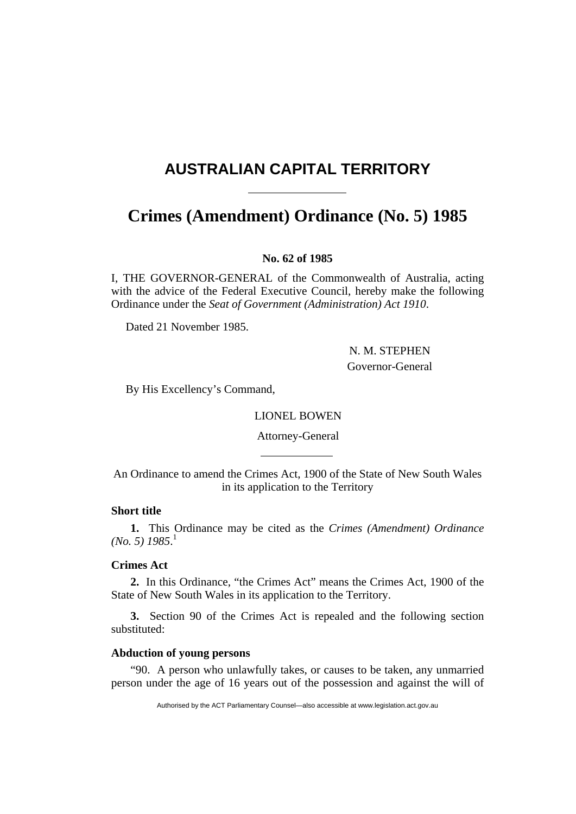# **AUSTRALIAN CAPITAL TERRITORY**

# **Crimes (Amendment) Ordinance (No. 5) 1985**

## **No. 62 of 1985**

I, THE GOVERNOR-GENERAL of the Commonwealth of Australia, acting with the advice of the Federal Executive Council, hereby make the following Ordinance under the *Seat of Government (Administration) Act 1910*.

Dated 21 November 1985.

 N. M. STEPHEN Governor-General

By His Excellency's Command,

LIONEL BOWEN

Attorney-General

An Ordinance to amend the Crimes Act, 1900 of the State of New South Wales in its application to the Territory

# **Short title**

**1.** This Ordinance may be cited as the *Crimes (Amendment) Ordinance (No. 5) 1985*. 1

# **Crimes Act**

**2.** In this Ordinance, "the Crimes Act" means the Crimes Act, 1900 of the State of New South Wales in its application to the Territory.

**3.** Section 90 of the Crimes Act is repealed and the following section substituted:

## **Abduction of young persons**

"90. A person who unlawfully takes, or causes to be taken, any unmarried person under the age of 16 years out of the possession and against the will of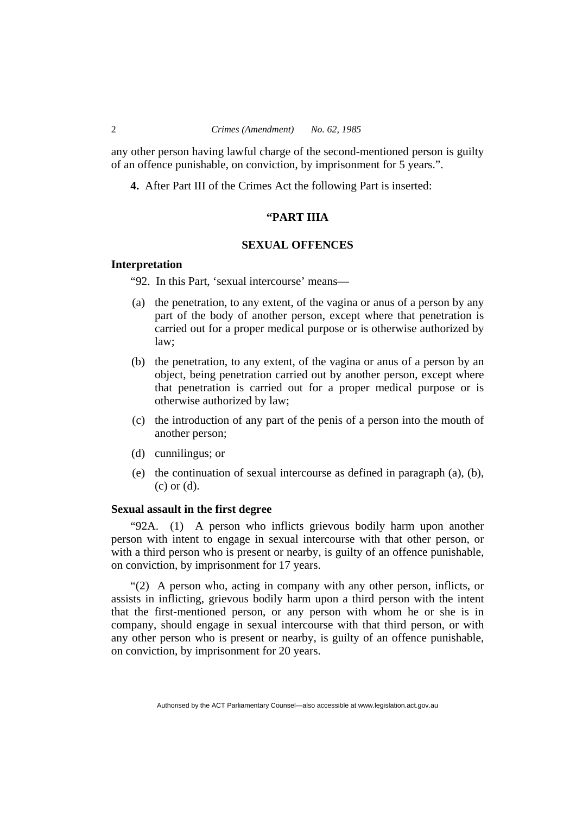any other person having lawful charge of the second-mentioned person is guilty of an offence punishable, on conviction, by imprisonment for 5 years.".

**4.** After Part III of the Crimes Act the following Part is inserted:

## **"PART IIIA**

#### **SEXUAL OFFENCES**

#### **Interpretation**

"92. In this Part, 'sexual intercourse' means—

- (a) the penetration, to any extent, of the vagina or anus of a person by any part of the body of another person, except where that penetration is carried out for a proper medical purpose or is otherwise authorized by law;
- (b) the penetration, to any extent, of the vagina or anus of a person by an object, being penetration carried out by another person, except where that penetration is carried out for a proper medical purpose or is otherwise authorized by law;
- (c) the introduction of any part of the penis of a person into the mouth of another person;
- (d) cunnilingus; or
- (e) the continuation of sexual intercourse as defined in paragraph (a), (b), (c) or (d).

#### **Sexual assault in the first degree**

"92A. (1) A person who inflicts grievous bodily harm upon another person with intent to engage in sexual intercourse with that other person, or with a third person who is present or nearby, is guilty of an offence punishable, on conviction, by imprisonment for 17 years.

"(2) A person who, acting in company with any other person, inflicts, or assists in inflicting, grievous bodily harm upon a third person with the intent that the first-mentioned person, or any person with whom he or she is in company, should engage in sexual intercourse with that third person, or with any other person who is present or nearby, is guilty of an offence punishable, on conviction, by imprisonment for 20 years.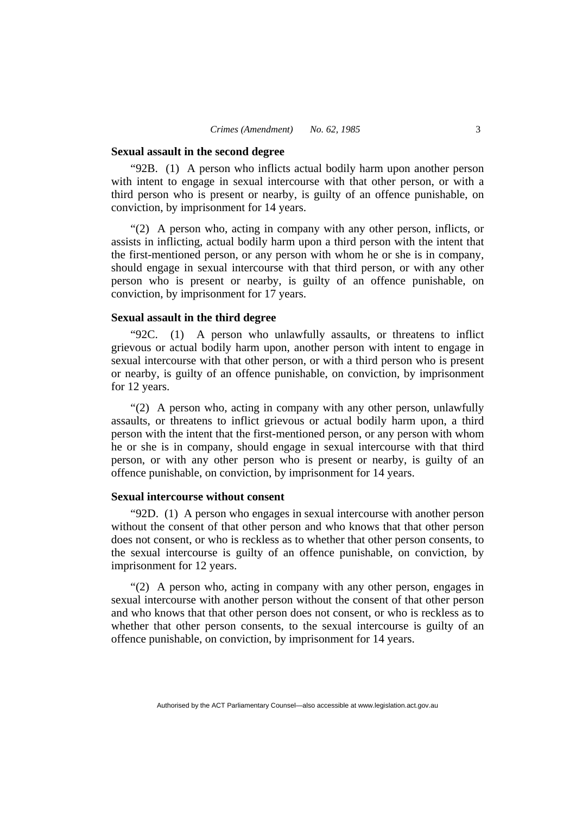#### **Sexual assault in the second degree**

"92B. (1) A person who inflicts actual bodily harm upon another person with intent to engage in sexual intercourse with that other person, or with a third person who is present or nearby, is guilty of an offence punishable, on conviction, by imprisonment for 14 years.

"(2) A person who, acting in company with any other person, inflicts, or assists in inflicting, actual bodily harm upon a third person with the intent that the first-mentioned person, or any person with whom he or she is in company, should engage in sexual intercourse with that third person, or with any other person who is present or nearby, is guilty of an offence punishable, on conviction, by imprisonment for 17 years.

## **Sexual assault in the third degree**

"92C. (1) A person who unlawfully assaults, or threatens to inflict grievous or actual bodily harm upon, another person with intent to engage in sexual intercourse with that other person, or with a third person who is present or nearby, is guilty of an offence punishable, on conviction, by imprisonment for 12 years.

"(2) A person who, acting in company with any other person, unlawfully assaults, or threatens to inflict grievous or actual bodily harm upon, a third person with the intent that the first-mentioned person, or any person with whom he or she is in company, should engage in sexual intercourse with that third person, or with any other person who is present or nearby, is guilty of an offence punishable, on conviction, by imprisonment for 14 years.

## **Sexual intercourse without consent**

"92D. (1) A person who engages in sexual intercourse with another person without the consent of that other person and who knows that that other person does not consent, or who is reckless as to whether that other person consents, to the sexual intercourse is guilty of an offence punishable, on conviction, by imprisonment for 12 years.

"(2) A person who, acting in company with any other person, engages in sexual intercourse with another person without the consent of that other person and who knows that that other person does not consent, or who is reckless as to whether that other person consents, to the sexual intercourse is guilty of an offence punishable, on conviction, by imprisonment for 14 years.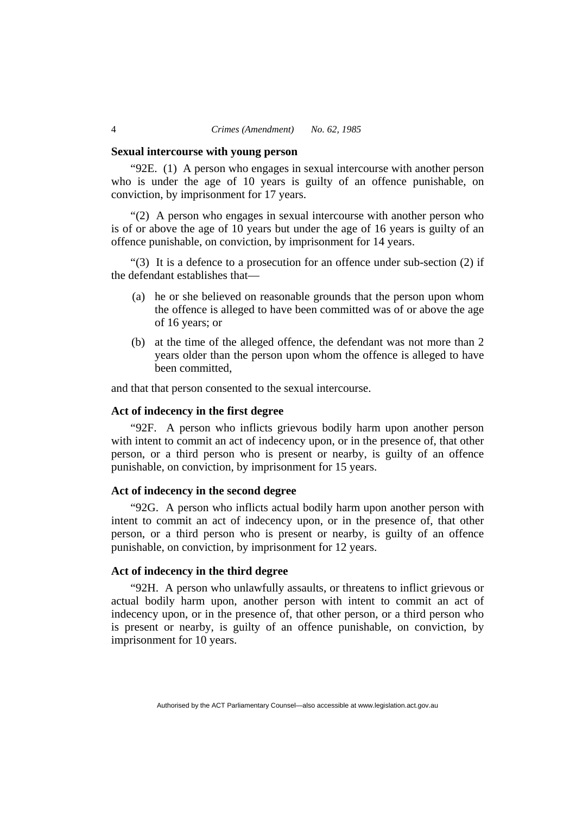#### **Sexual intercourse with young person**

"92E. (1) A person who engages in sexual intercourse with another person who is under the age of 10 years is guilty of an offence punishable, on conviction, by imprisonment for 17 years.

"(2) A person who engages in sexual intercourse with another person who is of or above the age of 10 years but under the age of 16 years is guilty of an offence punishable, on conviction, by imprisonment for 14 years.

"(3) It is a defence to a prosecution for an offence under sub-section (2) if the defendant establishes that—

- (a) he or she believed on reasonable grounds that the person upon whom the offence is alleged to have been committed was of or above the age of 16 years; or
- (b) at the time of the alleged offence, the defendant was not more than 2 years older than the person upon whom the offence is alleged to have been committed,

and that that person consented to the sexual intercourse.

## **Act of indecency in the first degree**

"92F. A person who inflicts grievous bodily harm upon another person with intent to commit an act of indecency upon, or in the presence of, that other person, or a third person who is present or nearby, is guilty of an offence punishable, on conviction, by imprisonment for 15 years.

#### **Act of indecency in the second degree**

"92G. A person who inflicts actual bodily harm upon another person with intent to commit an act of indecency upon, or in the presence of, that other person, or a third person who is present or nearby, is guilty of an offence punishable, on conviction, by imprisonment for 12 years.

## **Act of indecency in the third degree**

"92H. A person who unlawfully assaults, or threatens to inflict grievous or actual bodily harm upon, another person with intent to commit an act of indecency upon, or in the presence of, that other person, or a third person who is present or nearby, is guilty of an offence punishable, on conviction, by imprisonment for 10 years.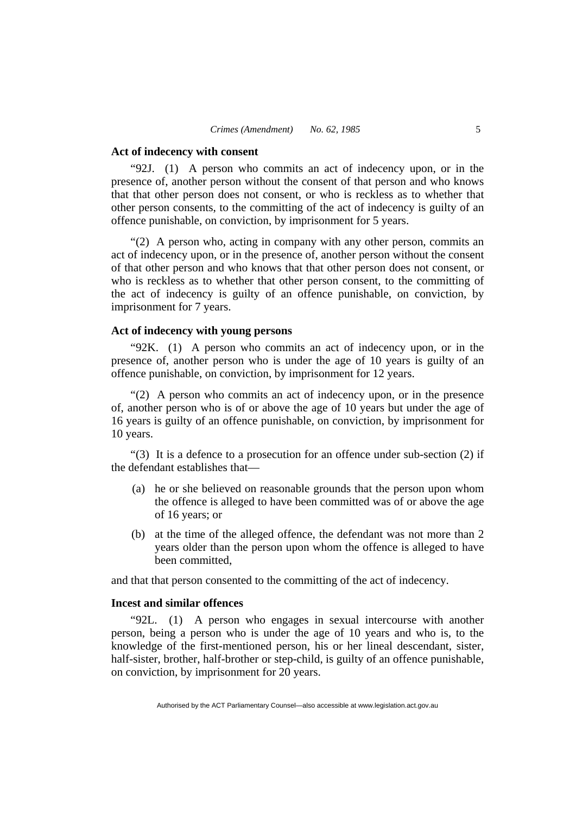#### **Act of indecency with consent**

"92J. (1) A person who commits an act of indecency upon, or in the presence of, another person without the consent of that person and who knows that that other person does not consent, or who is reckless as to whether that other person consents, to the committing of the act of indecency is guilty of an offence punishable, on conviction, by imprisonment for 5 years.

"(2) A person who, acting in company with any other person, commits an act of indecency upon, or in the presence of, another person without the consent of that other person and who knows that that other person does not consent, or who is reckless as to whether that other person consent, to the committing of the act of indecency is guilty of an offence punishable, on conviction, by imprisonment for 7 years.

#### **Act of indecency with young persons**

"92K. (1) A person who commits an act of indecency upon, or in the presence of, another person who is under the age of 10 years is guilty of an offence punishable, on conviction, by imprisonment for 12 years.

"(2) A person who commits an act of indecency upon, or in the presence of, another person who is of or above the age of 10 years but under the age of 16 years is guilty of an offence punishable, on conviction, by imprisonment for 10 years.

"(3) It is a defence to a prosecution for an offence under sub-section (2) if the defendant establishes that—

- (a) he or she believed on reasonable grounds that the person upon whom the offence is alleged to have been committed was of or above the age of 16 years; or
- (b) at the time of the alleged offence, the defendant was not more than 2 years older than the person upon whom the offence is alleged to have been committed,

and that that person consented to the committing of the act of indecency.

#### **Incest and similar offences**

"92L. (1) A person who engages in sexual intercourse with another person, being a person who is under the age of 10 years and who is, to the knowledge of the first-mentioned person, his or her lineal descendant, sister, half-sister, brother, half-brother or step-child, is guilty of an offence punishable, on conviction, by imprisonment for 20 years.

Authorised by the ACT Parliamentary Counsel—also accessible at www.legislation.act.gov.au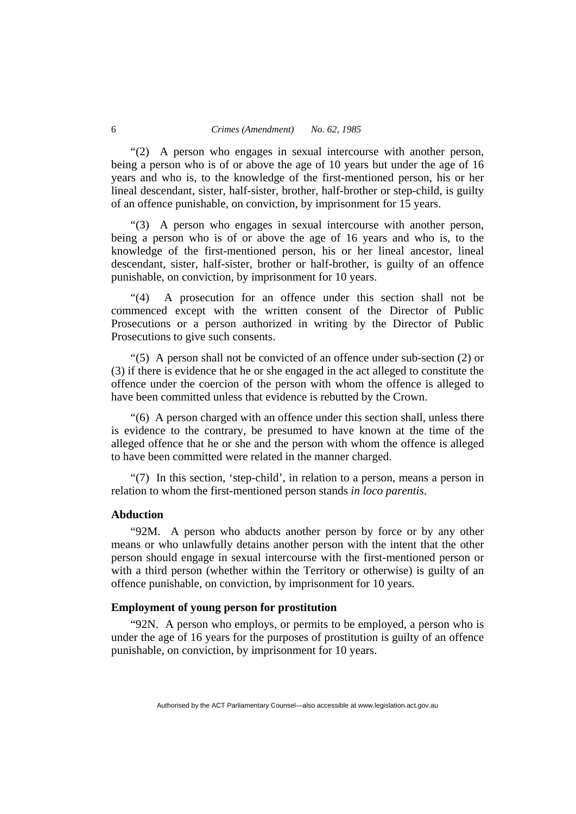"(2) A person who engages in sexual intercourse with another person, being a person who is of or above the age of 10 years but under the age of 16 years and who is, to the knowledge of the first-mentioned person, his or her lineal descendant, sister, half-sister, brother, half-brother or step-child, is guilty of an offence punishable, on conviction, by imprisonment for 15 years.

"(3) A person who engages in sexual intercourse with another person, being a person who is of or above the age of 16 years and who is, to the knowledge of the first-mentioned person, his or her lineal ancestor, lineal descendant, sister, half-sister, brother or half-brother, is guilty of an offence punishable, on conviction, by imprisonment for 10 years.

"(4) A prosecution for an offence under this section shall not be commenced except with the written consent of the Director of Public Prosecutions or a person authorized in writing by the Director of Public Prosecutions to give such consents.

"(5) A person shall not be convicted of an offence under sub-section (2) or (3) if there is evidence that he or she engaged in the act alleged to constitute the offence under the coercion of the person with whom the offence is alleged to have been committed unless that evidence is rebutted by the Crown.

"(6) A person charged with an offence under this section shall, unless there is evidence to the contrary, be presumed to have known at the time of the alleged offence that he or she and the person with whom the offence is alleged to have been committed were related in the manner charged.

"(7) In this section, 'step-child', in relation to a person, means a person in relation to whom the first-mentioned person stands *in loco parentis*.

## **Abduction**

"92M. A person who abducts another person by force or by any other means or who unlawfully detains another person with the intent that the other person should engage in sexual intercourse with the first-mentioned person or with a third person (whether within the Territory or otherwise) is guilty of an offence punishable, on conviction, by imprisonment for 10 years.

## **Employment of young person for prostitution**

"92N. A person who employs, or permits to be employed, a person who is under the age of 16 years for the purposes of prostitution is guilty of an offence punishable, on conviction, by imprisonment for 10 years.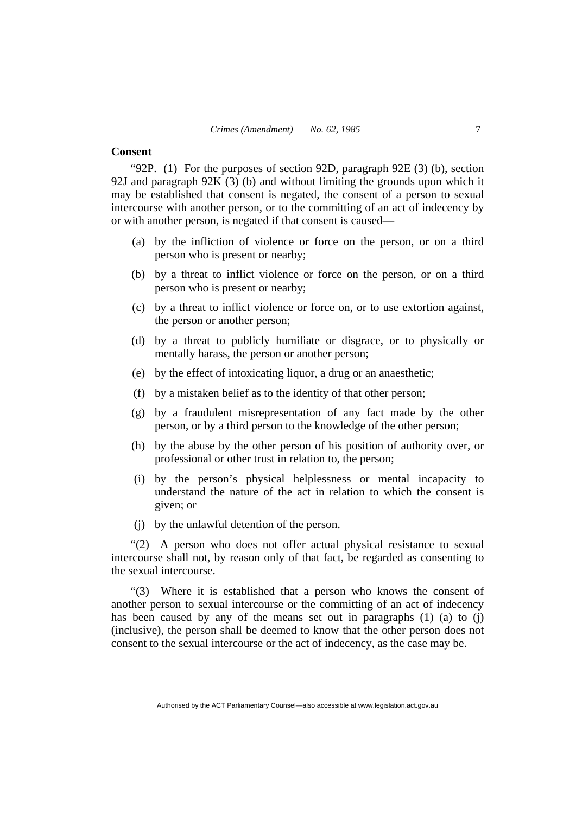#### **Consent**

"92P. (1) For the purposes of section 92D, paragraph 92E (3) (b), section 92J and paragraph 92K (3) (b) and without limiting the grounds upon which it may be established that consent is negated, the consent of a person to sexual intercourse with another person, or to the committing of an act of indecency by or with another person, is negated if that consent is caused—

- (a) by the infliction of violence or force on the person, or on a third person who is present or nearby;
- (b) by a threat to inflict violence or force on the person, or on a third person who is present or nearby;
- (c) by a threat to inflict violence or force on, or to use extortion against, the person or another person;
- (d) by a threat to publicly humiliate or disgrace, or to physically or mentally harass, the person or another person;
- (e) by the effect of intoxicating liquor, a drug or an anaesthetic;
- (f) by a mistaken belief as to the identity of that other person;
- (g) by a fraudulent misrepresentation of any fact made by the other person, or by a third person to the knowledge of the other person;
- (h) by the abuse by the other person of his position of authority over, or professional or other trust in relation to, the person;
- (i) by the person's physical helplessness or mental incapacity to understand the nature of the act in relation to which the consent is given; or
- (j) by the unlawful detention of the person.

"(2) A person who does not offer actual physical resistance to sexual intercourse shall not, by reason only of that fact, be regarded as consenting to the sexual intercourse.

"(3) Where it is established that a person who knows the consent of another person to sexual intercourse or the committing of an act of indecency has been caused by any of the means set out in paragraphs (1) (a) to (j) (inclusive), the person shall be deemed to know that the other person does not consent to the sexual intercourse or the act of indecency, as the case may be.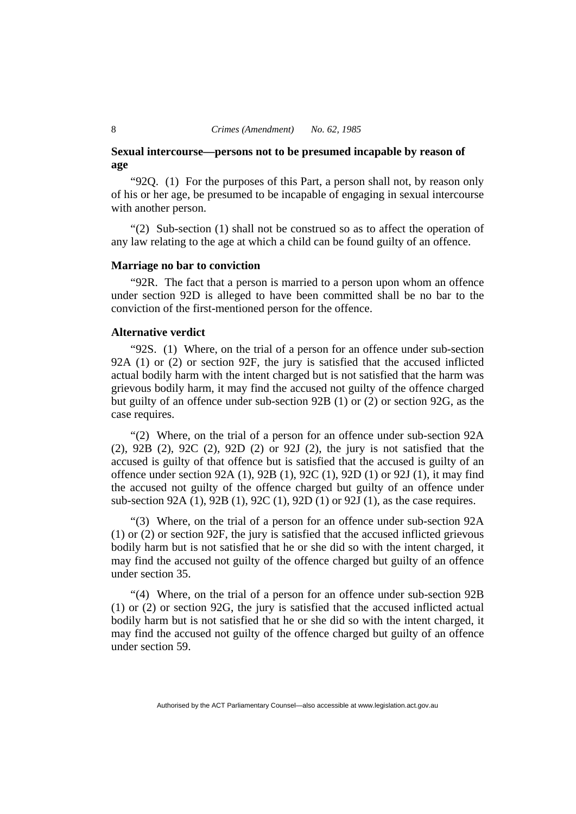#### 8 *Crimes (Amendment) No. 62, 1985*

## **Sexual intercourse—persons not to be presumed incapable by reason of age**

"92Q. (1) For the purposes of this Part, a person shall not, by reason only of his or her age, be presumed to be incapable of engaging in sexual intercourse with another person.

"(2) Sub-section (1) shall not be construed so as to affect the operation of any law relating to the age at which a child can be found guilty of an offence.

#### **Marriage no bar to conviction**

"92R. The fact that a person is married to a person upon whom an offence under section 92D is alleged to have been committed shall be no bar to the conviction of the first-mentioned person for the offence.

#### **Alternative verdict**

"92S. (1) Where, on the trial of a person for an offence under sub-section 92A (1) or (2) or section 92F, the jury is satisfied that the accused inflicted actual bodily harm with the intent charged but is not satisfied that the harm was grievous bodily harm, it may find the accused not guilty of the offence charged but guilty of an offence under sub-section 92B (1) or (2) or section 92G, as the case requires.

"(2) Where, on the trial of a person for an offence under sub-section 92A (2), 92B (2), 92C (2), 92D (2) or 92J (2), the jury is not satisfied that the accused is guilty of that offence but is satisfied that the accused is guilty of an offence under section 92A (1), 92B (1), 92C (1), 92D (1) or 92J (1), it may find the accused not guilty of the offence charged but guilty of an offence under sub-section 92A (1), 92B (1), 92C (1), 92D (1) or 92J (1), as the case requires.

"(3) Where, on the trial of a person for an offence under sub-section 92A (1) or (2) or section 92F, the jury is satisfied that the accused inflicted grievous bodily harm but is not satisfied that he or she did so with the intent charged, it may find the accused not guilty of the offence charged but guilty of an offence under section 35.

"(4) Where, on the trial of a person for an offence under sub-section 92B (1) or (2) or section 92G, the jury is satisfied that the accused inflicted actual bodily harm but is not satisfied that he or she did so with the intent charged, it may find the accused not guilty of the offence charged but guilty of an offence under section 59.

Authorised by the ACT Parliamentary Counsel—also accessible at www.legislation.act.gov.au